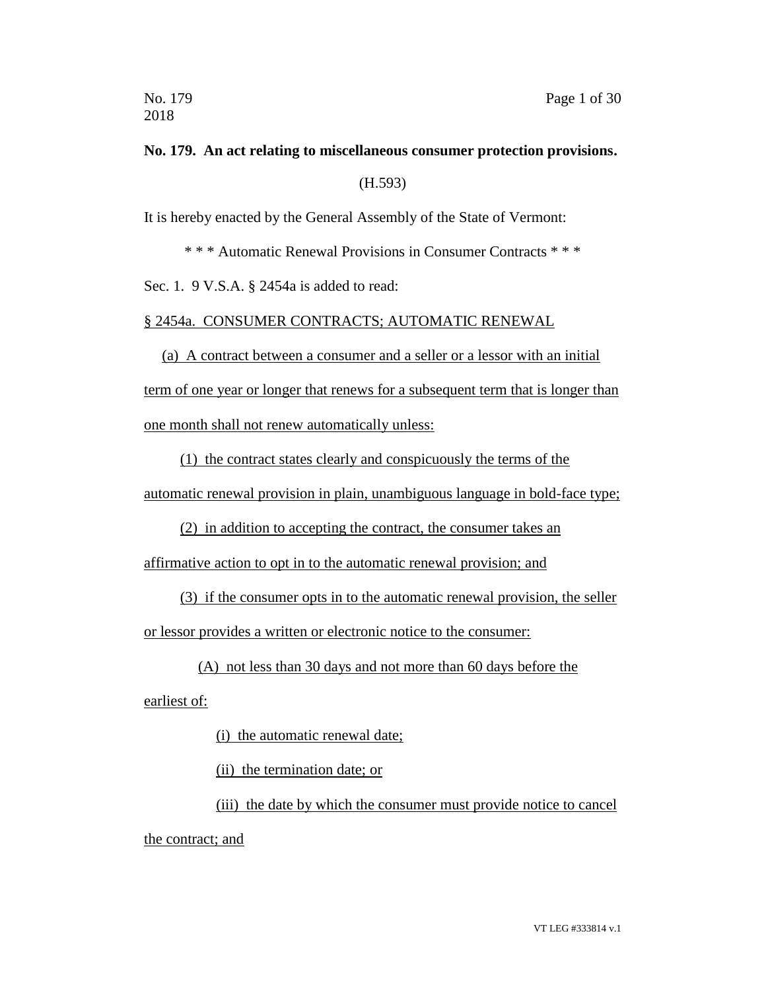# **No. 179. An act relating to miscellaneous consumer protection provisions.** (H.593)

It is hereby enacted by the General Assembly of the State of Vermont:

\* \* \* Automatic Renewal Provisions in Consumer Contracts \* \* \*

Sec. 1. 9 V.S.A. § 2454a is added to read:

§ 2454a. CONSUMER CONTRACTS; AUTOMATIC RENEWAL

(a) A contract between a consumer and a seller or a lessor with an initial

term of one year or longer that renews for a subsequent term that is longer than one month shall not renew automatically unless:

(1) the contract states clearly and conspicuously the terms of the

automatic renewal provision in plain, unambiguous language in bold-face type;

(2) in addition to accepting the contract, the consumer takes an

affirmative action to opt in to the automatic renewal provision; and

(3) if the consumer opts in to the automatic renewal provision, the seller

or lessor provides a written or electronic notice to the consumer:

(A) not less than 30 days and not more than 60 days before the

earliest of:

(i) the automatic renewal date;

(ii) the termination date; or

(iii) the date by which the consumer must provide notice to cancel the contract; and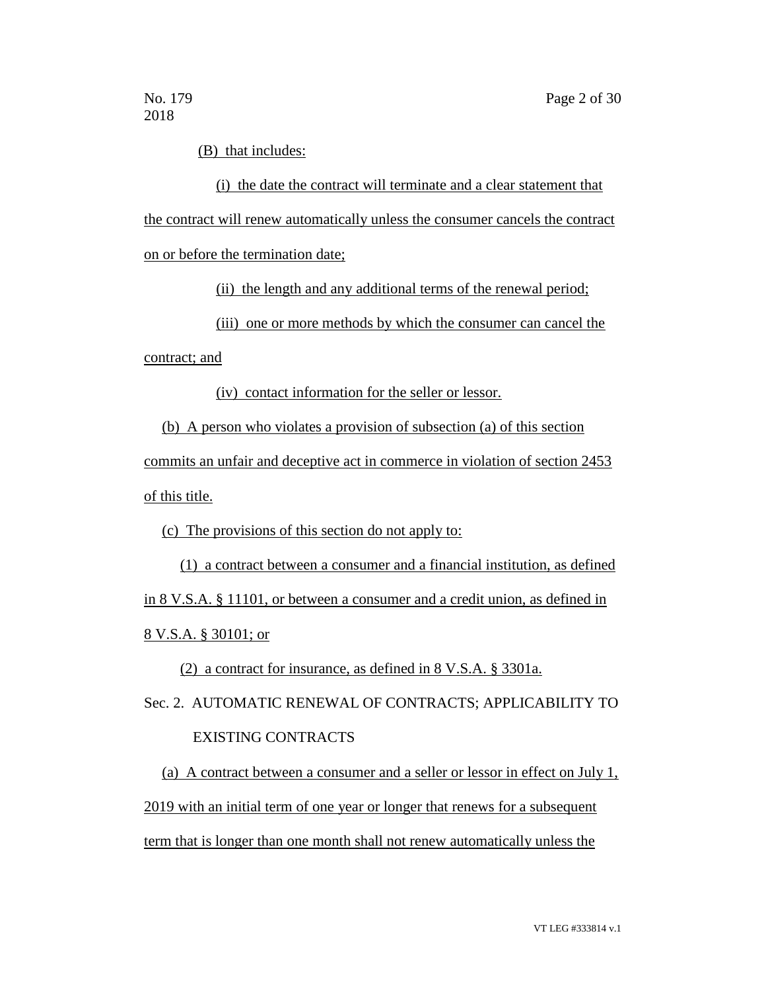(B) that includes:

(i) the date the contract will terminate and a clear statement that the contract will renew automatically unless the consumer cancels the contract on or before the termination date;

(ii) the length and any additional terms of the renewal period;

(iii) one or more methods by which the consumer can cancel the

contract; and

(iv) contact information for the seller or lessor.

(b) A person who violates a provision of subsection (a) of this section

commits an unfair and deceptive act in commerce in violation of section 2453

of this title.

(c) The provisions of this section do not apply to:

(1) a contract between a consumer and a financial institution, as defined in 8 V.S.A. § 11101, or between a consumer and a credit union, as defined in 8 V.S.A. § 30101; or

(2) a contract for insurance, as defined in 8 V.S.A. § 3301a.

Sec. 2. AUTOMATIC RENEWAL OF CONTRACTS; APPLICABILITY TO

### EXISTING CONTRACTS

(a) A contract between a consumer and a seller or lessor in effect on July 1, 2019 with an initial term of one year or longer that renews for a subsequent term that is longer than one month shall not renew automatically unless the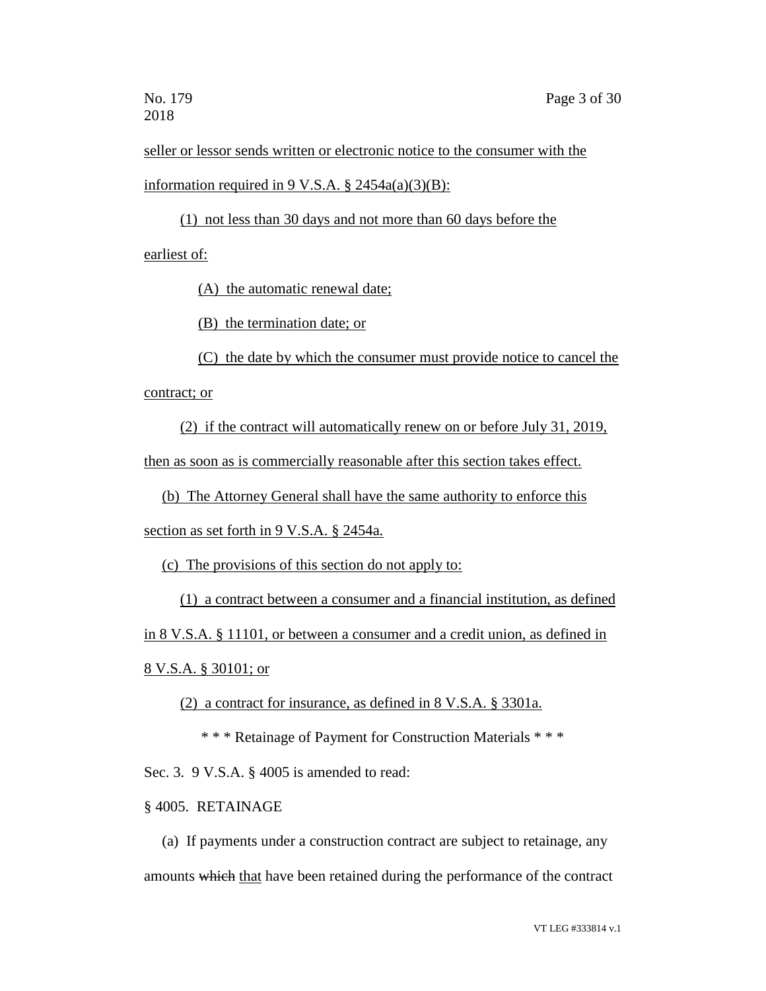seller or lessor sends written or electronic notice to the consumer with the information required in 9 V.S.A.  $\S$  2454a(a)(3)(B):

(1) not less than 30 days and not more than 60 days before the earliest of:

(A) the automatic renewal date;

(B) the termination date; or

(C) the date by which the consumer must provide notice to cancel the contract; or

(2) if the contract will automatically renew on or before July 31, 2019,

then as soon as is commercially reasonable after this section takes effect.

(b) The Attorney General shall have the same authority to enforce this

section as set forth in 9 V.S.A. § 2454a.

(c) The provisions of this section do not apply to:

(1) a contract between a consumer and a financial institution, as defined

in 8 V.S.A. § 11101, or between a consumer and a credit union, as defined in

8 V.S.A. § 30101; or

(2) a contract for insurance, as defined in 8 V.S.A. § 3301a.

\* \* \* Retainage of Payment for Construction Materials \* \* \*

Sec. 3. 9 V.S.A. § 4005 is amended to read:

§ 4005. RETAINAGE

(a) If payments under a construction contract are subject to retainage, any amounts which that have been retained during the performance of the contract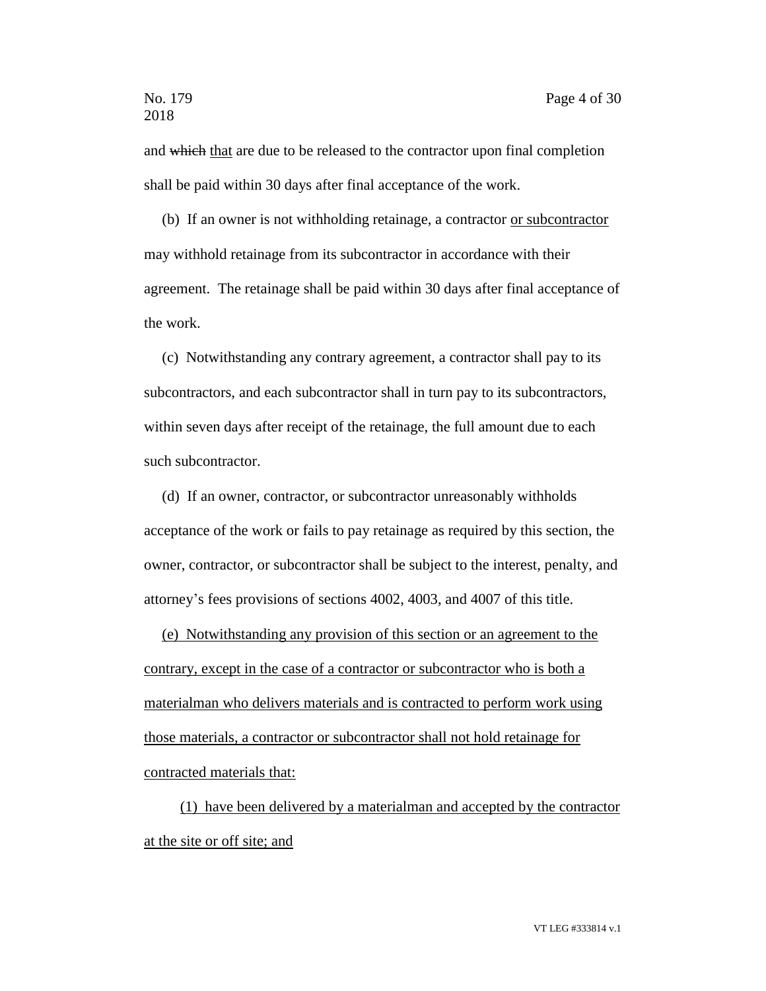and which that are due to be released to the contractor upon final completion shall be paid within 30 days after final acceptance of the work.

(b) If an owner is not withholding retainage, a contractor or subcontractor may withhold retainage from its subcontractor in accordance with their agreement. The retainage shall be paid within 30 days after final acceptance of the work.

(c) Notwithstanding any contrary agreement, a contractor shall pay to its subcontractors, and each subcontractor shall in turn pay to its subcontractors, within seven days after receipt of the retainage, the full amount due to each such subcontractor.

(d) If an owner, contractor, or subcontractor unreasonably withholds acceptance of the work or fails to pay retainage as required by this section, the owner, contractor, or subcontractor shall be subject to the interest, penalty, and attorney's fees provisions of sections 4002, 4003, and 4007 of this title.

(e) Notwithstanding any provision of this section or an agreement to the contrary, except in the case of a contractor or subcontractor who is both a materialman who delivers materials and is contracted to perform work using those materials, a contractor or subcontractor shall not hold retainage for contracted materials that:

(1) have been delivered by a materialman and accepted by the contractor at the site or off site; and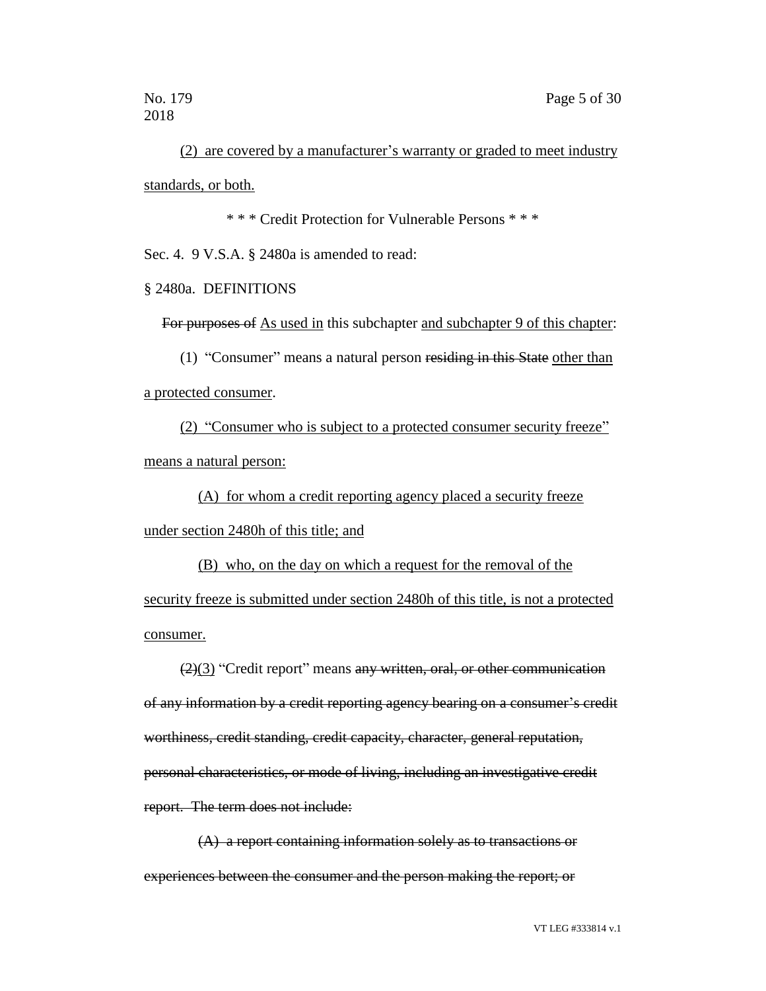(2) are covered by a manufacturer's warranty or graded to meet industry standards, or both.

\* \* \* Credit Protection for Vulnerable Persons \* \* \*

Sec. 4. 9 V.S.A. § 2480a is amended to read:

§ 2480a. DEFINITIONS

For purposes of As used in this subchapter and subchapter 9 of this chapter:

(1) "Consumer" means a natural person residing in this State other than a protected consumer.

(2) "Consumer who is subject to a protected consumer security freeze" means a natural person:

(A) for whom a credit reporting agency placed a security freeze under section 2480h of this title; and

(B) who, on the day on which a request for the removal of the security freeze is submitted under section 2480h of this title, is not a protected consumer.

 $(2)(3)$  "Credit report" means any written, oral, or other communication of any information by a credit reporting agency bearing on a consumer's credit worthiness, credit standing, credit capacity, character, general reputation, personal characteristics, or mode of living, including an investigative credit report. The term does not include:

(A) a report containing information solely as to transactions or experiences between the consumer and the person making the report; or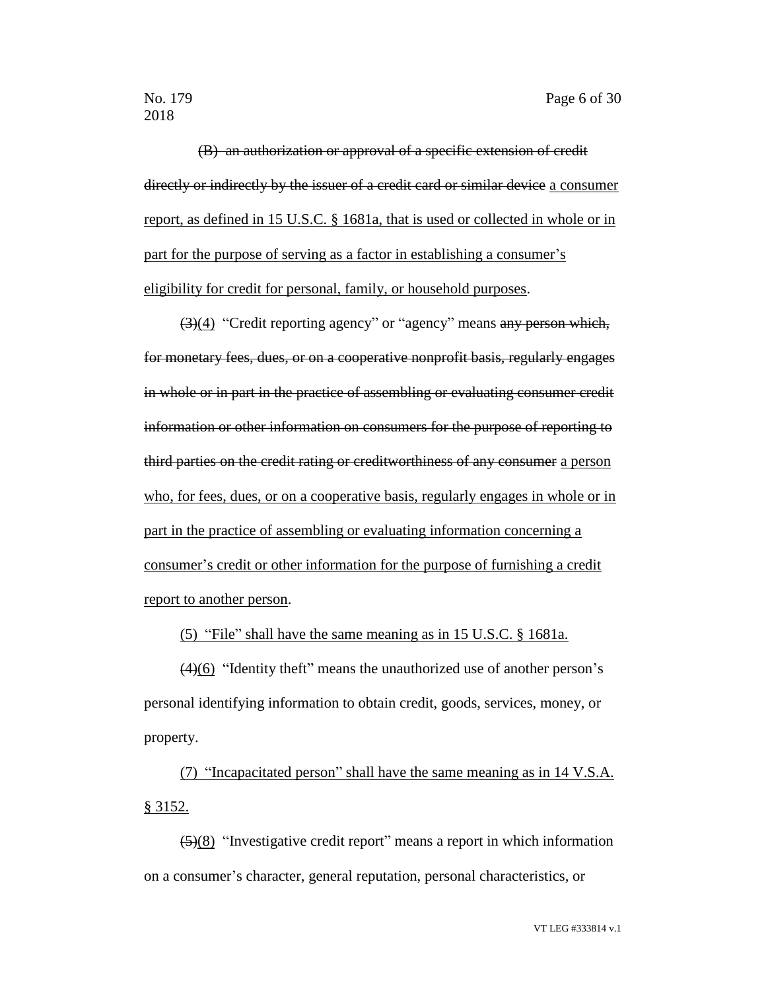(B) an authorization or approval of a specific extension of credit directly or indirectly by the issuer of a credit card or similar device a consumer report, as defined in 15 U.S.C. § 1681a, that is used or collected in whole or in part for the purpose of serving as a factor in establishing a consumer's eligibility for credit for personal, family, or household purposes.

(3)(4) "Credit reporting agency" or "agency" means any person which, for monetary fees, dues, or on a cooperative nonprofit basis, regularly engages in whole or in part in the practice of assembling or evaluating consumer credit information or other information on consumers for the purpose of reporting to third parties on the credit rating or creditworthiness of any consumer a person who, for fees, dues, or on a cooperative basis, regularly engages in whole or in part in the practice of assembling or evaluating information concerning a consumer's credit or other information for the purpose of furnishing a credit report to another person.

(5) "File" shall have the same meaning as in 15 U.S.C. § 1681a.

(4)(6) "Identity theft" means the unauthorized use of another person's personal identifying information to obtain credit, goods, services, money, or property.

(7) "Incapacitated person" shall have the same meaning as in 14 V.S.A. § 3152.

 $\left(\frac{5}{8}\right)$  "Investigative credit report" means a report in which information on a consumer's character, general reputation, personal characteristics, or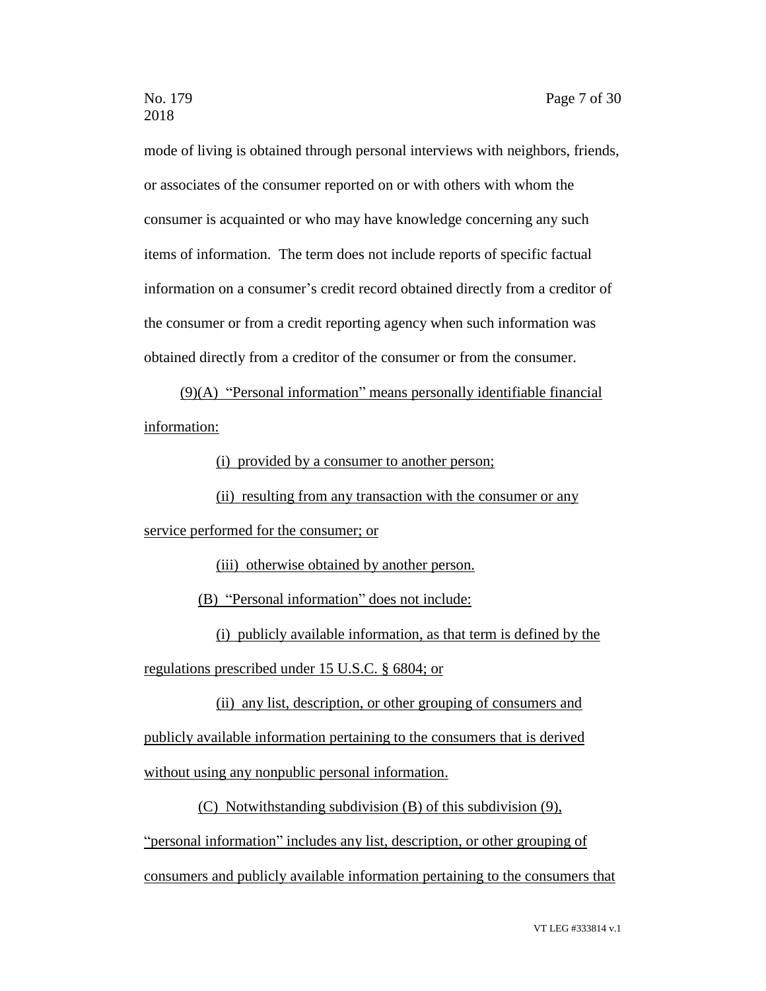mode of living is obtained through personal interviews with neighbors, friends, or associates of the consumer reported on or with others with whom the consumer is acquainted or who may have knowledge concerning any such items of information. The term does not include reports of specific factual information on a consumer's credit record obtained directly from a creditor of the consumer or from a credit reporting agency when such information was obtained directly from a creditor of the consumer or from the consumer.

(9)(A) "Personal information" means personally identifiable financial information:

(i) provided by a consumer to another person;

(ii) resulting from any transaction with the consumer or any

service performed for the consumer; or

(iii) otherwise obtained by another person.

(B) "Personal information" does not include:

(i) publicly available information, as that term is defined by the regulations prescribed under 15 U.S.C. § 6804; or

(ii) any list, description, or other grouping of consumers and publicly available information pertaining to the consumers that is derived without using any nonpublic personal information.

(C) Notwithstanding subdivision (B) of this subdivision (9),

"personal information" includes any list, description, or other grouping of

consumers and publicly available information pertaining to the consumers that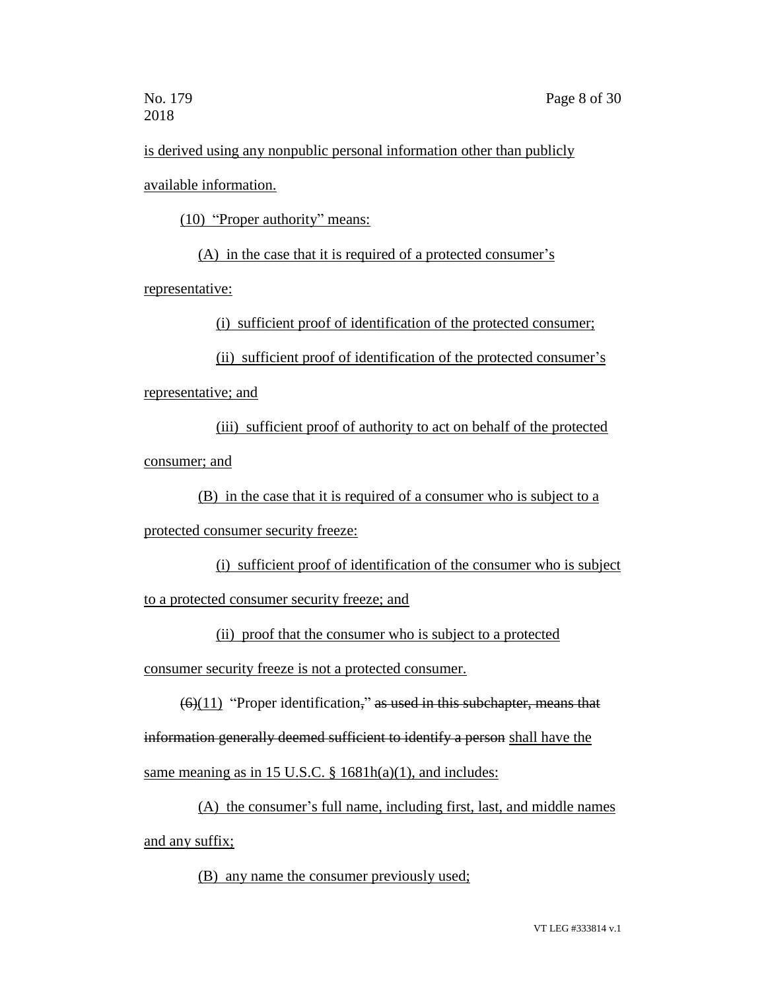is derived using any nonpublic personal information other than publicly available information.

(10) "Proper authority" means:

(A) in the case that it is required of a protected consumer's

representative:

(i) sufficient proof of identification of the protected consumer;

(ii) sufficient proof of identification of the protected consumer's

representative; and

(iii) sufficient proof of authority to act on behalf of the protected consumer; and

(B) in the case that it is required of a consumer who is subject to a

protected consumer security freeze:

(i) sufficient proof of identification of the consumer who is subject to a protected consumer security freeze; and

(ii) proof that the consumer who is subject to a protected

consumer security freeze is not a protected consumer.

 $(6)(11)$  "Proper identification," as used in this subchapter, means that

information generally deemed sufficient to identify a person shall have the

same meaning as in 15 U.S.C.  $\S$  1681h(a)(1), and includes:

(A) the consumer's full name, including first, last, and middle names and any suffix;

(B) any name the consumer previously used;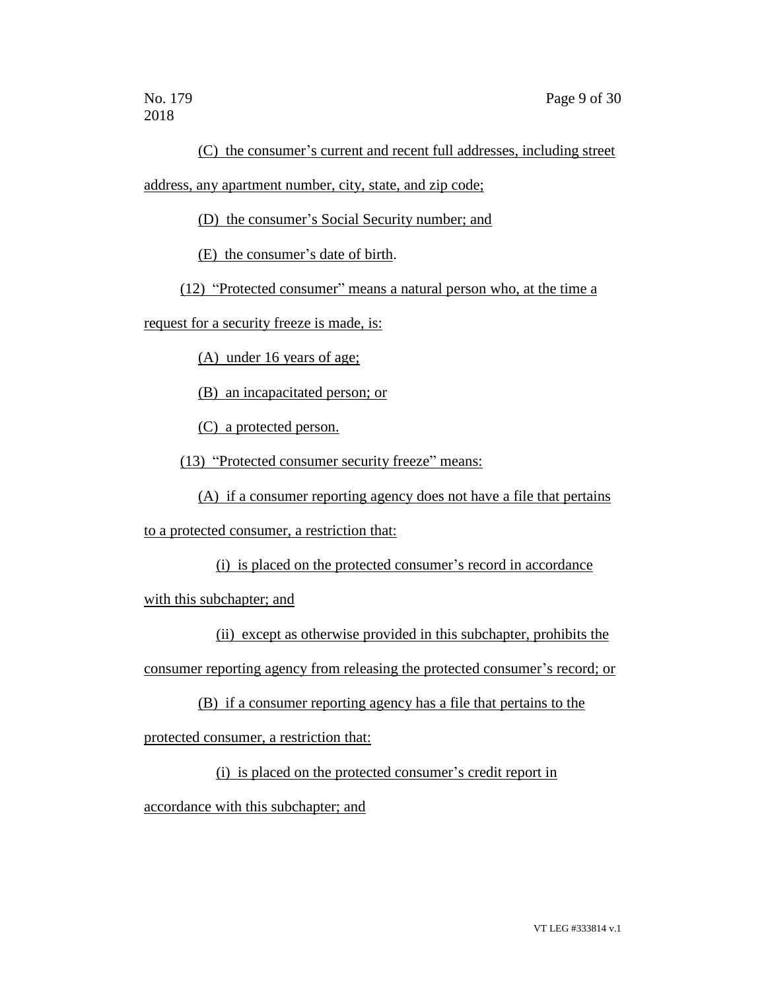(C) the consumer's current and recent full addresses, including street address, any apartment number, city, state, and zip code;

(D) the consumer's Social Security number; and

(E) the consumer's date of birth.

(12) "Protected consumer" means a natural person who, at the time a

request for a security freeze is made, is:

(A) under 16 years of age;

(B) an incapacitated person; or

(C) a protected person.

(13) "Protected consumer security freeze" means:

(A) if a consumer reporting agency does not have a file that pertains

to a protected consumer, a restriction that:

(i) is placed on the protected consumer's record in accordance

with this subchapter; and

(ii) except as otherwise provided in this subchapter, prohibits the

consumer reporting agency from releasing the protected consumer's record; or

(B) if a consumer reporting agency has a file that pertains to the

protected consumer, a restriction that:

(i) is placed on the protected consumer's credit report in

accordance with this subchapter; and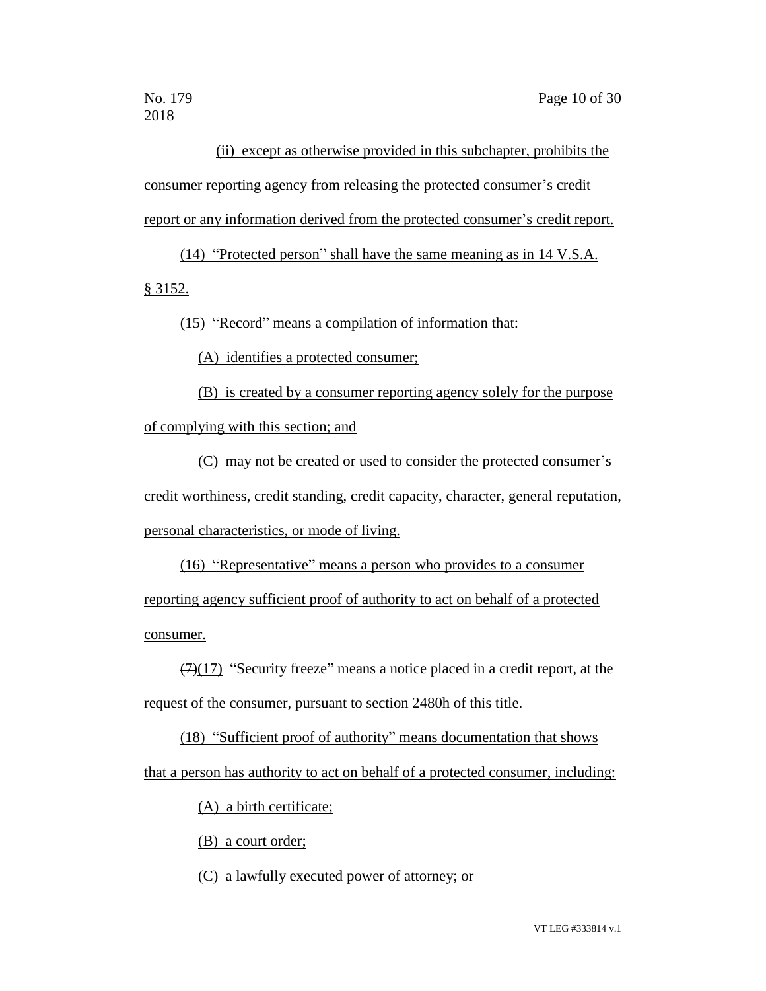(ii) except as otherwise provided in this subchapter, prohibits the consumer reporting agency from releasing the protected consumer's credit report or any information derived from the protected consumer's credit report.

(14) "Protected person" shall have the same meaning as in 14 V.S.A. § 3152.

(15) "Record" means a compilation of information that:

(A) identifies a protected consumer;

(B) is created by a consumer reporting agency solely for the purpose of complying with this section; and

(C) may not be created or used to consider the protected consumer's credit worthiness, credit standing, credit capacity, character, general reputation, personal characteristics, or mode of living.

(16) "Representative" means a person who provides to a consumer reporting agency sufficient proof of authority to act on behalf of a protected consumer.

 $(7)(17)$  "Security freeze" means a notice placed in a credit report, at the request of the consumer, pursuant to section 2480h of this title.

(18) "Sufficient proof of authority" means documentation that shows that a person has authority to act on behalf of a protected consumer, including:

(A) a birth certificate;

(B) a court order;

(C) a lawfully executed power of attorney; or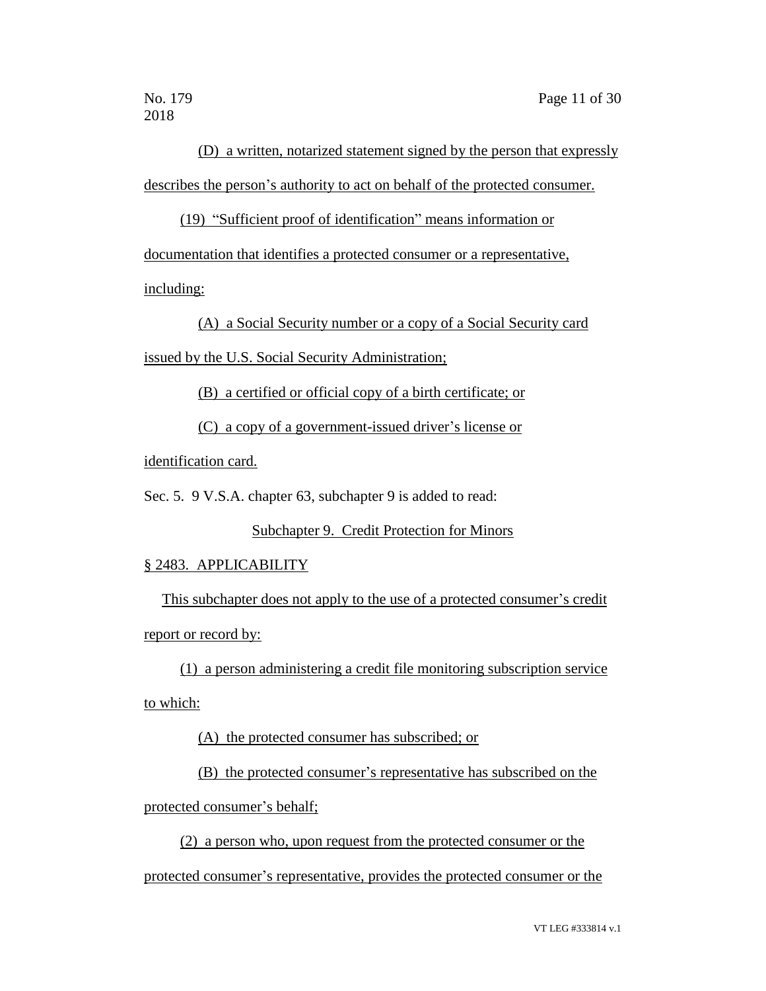(D) a written, notarized statement signed by the person that expressly describes the person's authority to act on behalf of the protected consumer.

(19) "Sufficient proof of identification" means information or documentation that identifies a protected consumer or a representative, including:

(A) a Social Security number or a copy of a Social Security card issued by the U.S. Social Security Administration;

(B) a certified or official copy of a birth certificate; or

(C) a copy of a government-issued driver's license or

identification card.

Sec. 5. 9 V.S.A. chapter 63, subchapter 9 is added to read:

Subchapter 9. Credit Protection for Minors

#### § 2483. APPLICABILITY

This subchapter does not apply to the use of a protected consumer's credit report or record by:

(1) a person administering a credit file monitoring subscription service to which:

(A) the protected consumer has subscribed; or

(B) the protected consumer's representative has subscribed on the

protected consumer's behalf;

(2) a person who, upon request from the protected consumer or the protected consumer's representative, provides the protected consumer or the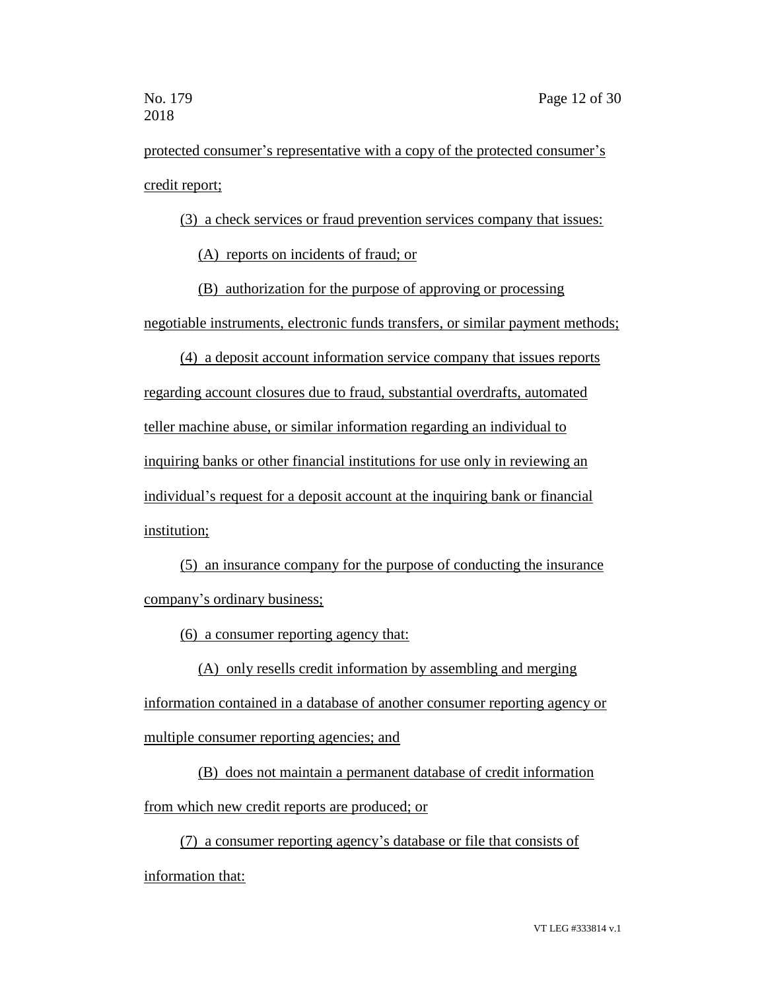protected consumer's representative with a copy of the protected consumer's credit report;

(3) a check services or fraud prevention services company that issues:

(A) reports on incidents of fraud; or

(B) authorization for the purpose of approving or processing negotiable instruments, electronic funds transfers, or similar payment methods;

(4) a deposit account information service company that issues reports regarding account closures due to fraud, substantial overdrafts, automated teller machine abuse, or similar information regarding an individual to inquiring banks or other financial institutions for use only in reviewing an individual's request for a deposit account at the inquiring bank or financial institution;

(5) an insurance company for the purpose of conducting the insurance company's ordinary business;

(6) a consumer reporting agency that:

(A) only resells credit information by assembling and merging information contained in a database of another consumer reporting agency or multiple consumer reporting agencies; and

(B) does not maintain a permanent database of credit information from which new credit reports are produced; or

(7) a consumer reporting agency's database or file that consists of information that: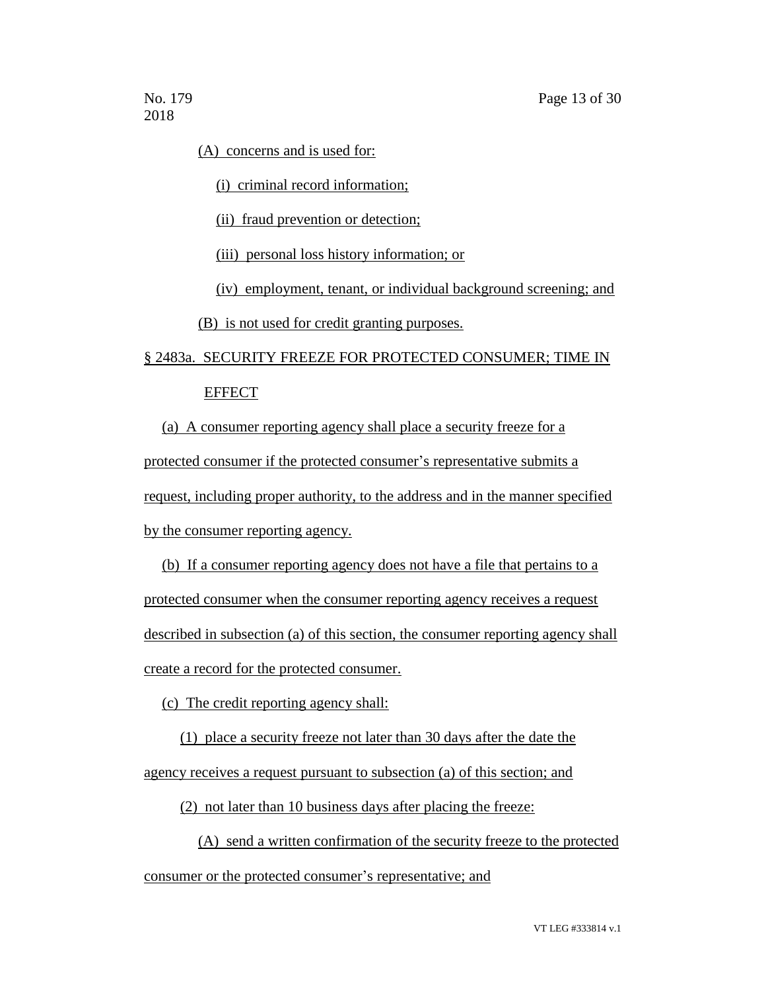(A) concerns and is used for:

(i) criminal record information;

(ii) fraud prevention or detection;

(iii) personal loss history information; or

(iv) employment, tenant, or individual background screening; and

(B) is not used for credit granting purposes.

## § 2483a. SECURITY FREEZE FOR PROTECTED CONSUMER; TIME IN EFFECT

(a) A consumer reporting agency shall place a security freeze for a protected consumer if the protected consumer's representative submits a request, including proper authority, to the address and in the manner specified by the consumer reporting agency.

(b) If a consumer reporting agency does not have a file that pertains to a protected consumer when the consumer reporting agency receives a request described in subsection (a) of this section, the consumer reporting agency shall create a record for the protected consumer.

(c) The credit reporting agency shall:

(1) place a security freeze not later than 30 days after the date the

agency receives a request pursuant to subsection (a) of this section; and

(2) not later than 10 business days after placing the freeze:

(A) send a written confirmation of the security freeze to the protected consumer or the protected consumer's representative; and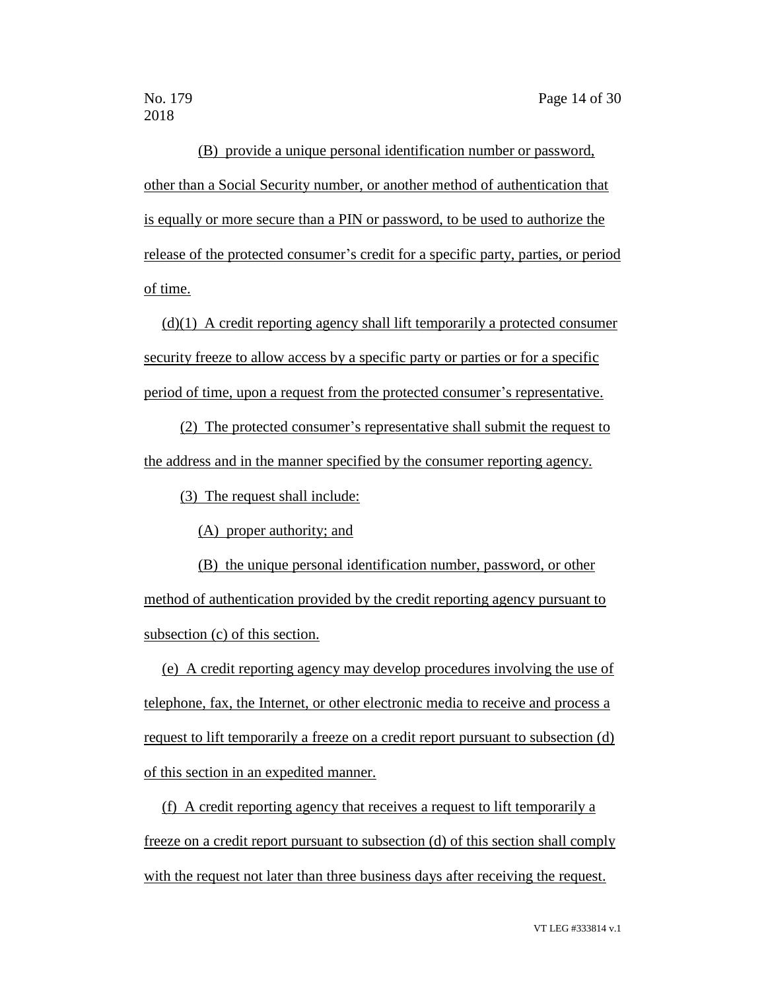(B) provide a unique personal identification number or password, other than a Social Security number, or another method of authentication that is equally or more secure than a PIN or password, to be used to authorize the release of the protected consumer's credit for a specific party, parties, or period of time.

(d)(1) A credit reporting agency shall lift temporarily a protected consumer security freeze to allow access by a specific party or parties or for a specific period of time, upon a request from the protected consumer's representative.

(2) The protected consumer's representative shall submit the request to the address and in the manner specified by the consumer reporting agency.

(3) The request shall include:

(A) proper authority; and

(B) the unique personal identification number, password, or other method of authentication provided by the credit reporting agency pursuant to subsection (c) of this section.

(e) A credit reporting agency may develop procedures involving the use of telephone, fax, the Internet, or other electronic media to receive and process a request to lift temporarily a freeze on a credit report pursuant to subsection (d) of this section in an expedited manner.

(f) A credit reporting agency that receives a request to lift temporarily a freeze on a credit report pursuant to subsection (d) of this section shall comply with the request not later than three business days after receiving the request.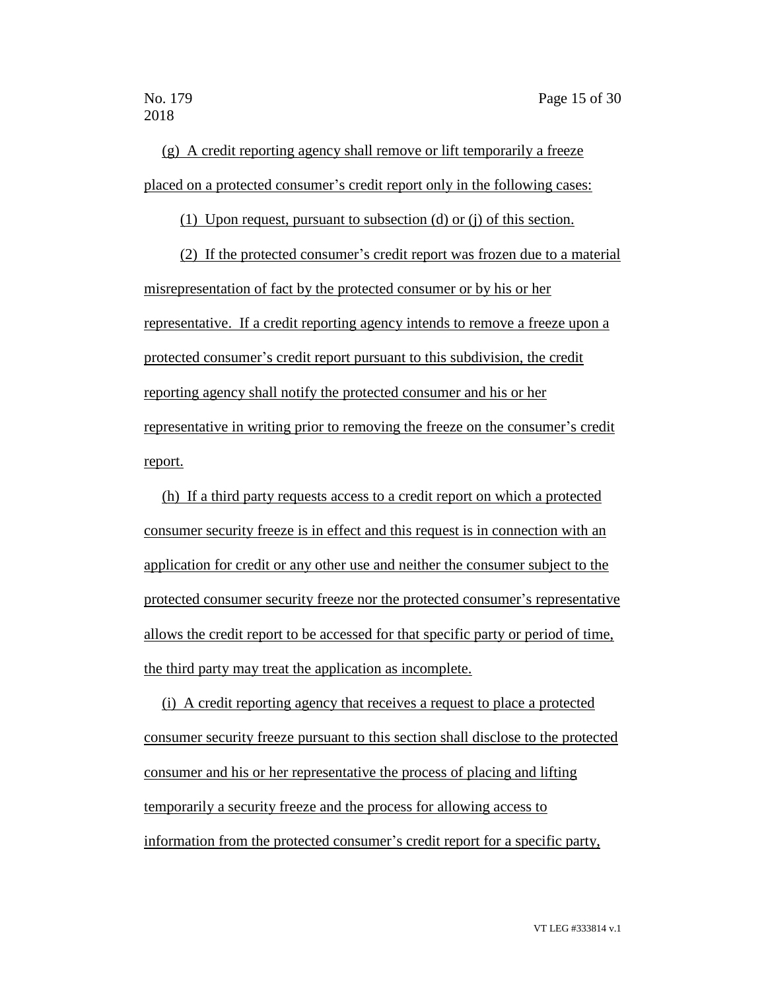(g) A credit reporting agency shall remove or lift temporarily a freeze placed on a protected consumer's credit report only in the following cases:

(1) Upon request, pursuant to subsection (d) or (j) of this section.

(2) If the protected consumer's credit report was frozen due to a material misrepresentation of fact by the protected consumer or by his or her representative. If a credit reporting agency intends to remove a freeze upon a protected consumer's credit report pursuant to this subdivision, the credit reporting agency shall notify the protected consumer and his or her representative in writing prior to removing the freeze on the consumer's credit report.

(h) If a third party requests access to a credit report on which a protected consumer security freeze is in effect and this request is in connection with an application for credit or any other use and neither the consumer subject to the protected consumer security freeze nor the protected consumer's representative allows the credit report to be accessed for that specific party or period of time, the third party may treat the application as incomplete.

(i) A credit reporting agency that receives a request to place a protected consumer security freeze pursuant to this section shall disclose to the protected consumer and his or her representative the process of placing and lifting temporarily a security freeze and the process for allowing access to information from the protected consumer's credit report for a specific party,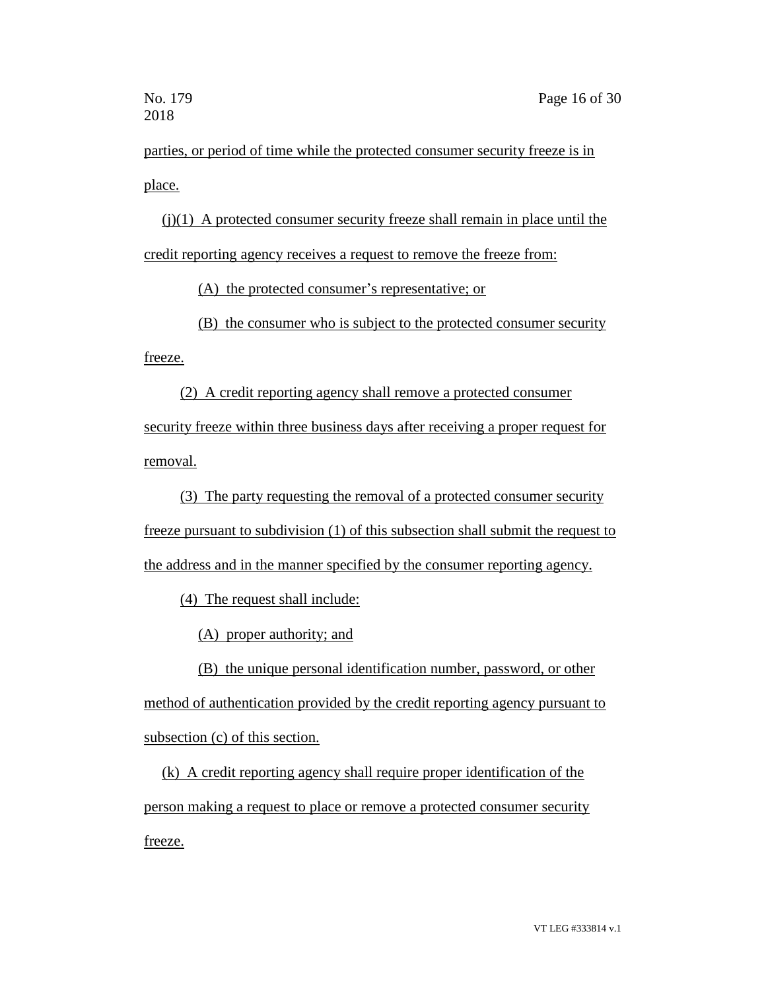parties, or period of time while the protected consumer security freeze is in place.

(j)(1) A protected consumer security freeze shall remain in place until the credit reporting agency receives a request to remove the freeze from:

(A) the protected consumer's representative; or

(B) the consumer who is subject to the protected consumer security

freeze.

(2) A credit reporting agency shall remove a protected consumer security freeze within three business days after receiving a proper request for removal.

(3) The party requesting the removal of a protected consumer security freeze pursuant to subdivision (1) of this subsection shall submit the request to the address and in the manner specified by the consumer reporting agency.

(4) The request shall include:

(A) proper authority; and

(B) the unique personal identification number, password, or other method of authentication provided by the credit reporting agency pursuant to

subsection (c) of this section.

(k) A credit reporting agency shall require proper identification of the person making a request to place or remove a protected consumer security freeze.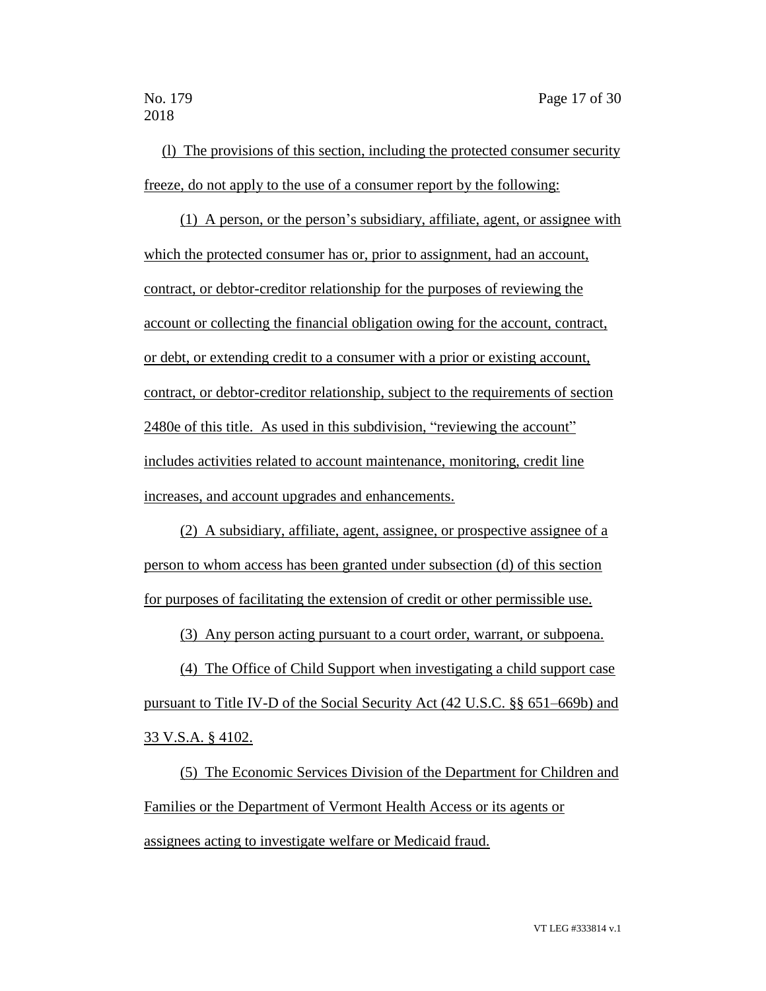(l) The provisions of this section, including the protected consumer security freeze, do not apply to the use of a consumer report by the following:

(1) A person, or the person's subsidiary, affiliate, agent, or assignee with which the protected consumer has or, prior to assignment, had an account, contract, or debtor-creditor relationship for the purposes of reviewing the account or collecting the financial obligation owing for the account, contract, or debt, or extending credit to a consumer with a prior or existing account, contract, or debtor-creditor relationship, subject to the requirements of section 2480e of this title. As used in this subdivision, "reviewing the account" includes activities related to account maintenance, monitoring, credit line increases, and account upgrades and enhancements.

(2) A subsidiary, affiliate, agent, assignee, or prospective assignee of a person to whom access has been granted under subsection (d) of this section for purposes of facilitating the extension of credit or other permissible use.

(3) Any person acting pursuant to a court order, warrant, or subpoena.

(4) The Office of Child Support when investigating a child support case pursuant to Title IV-D of the Social Security Act (42 U.S.C. §§ 651–669b) and 33 V.S.A. § 4102.

(5) The Economic Services Division of the Department for Children and Families or the Department of Vermont Health Access or its agents or assignees acting to investigate welfare or Medicaid fraud.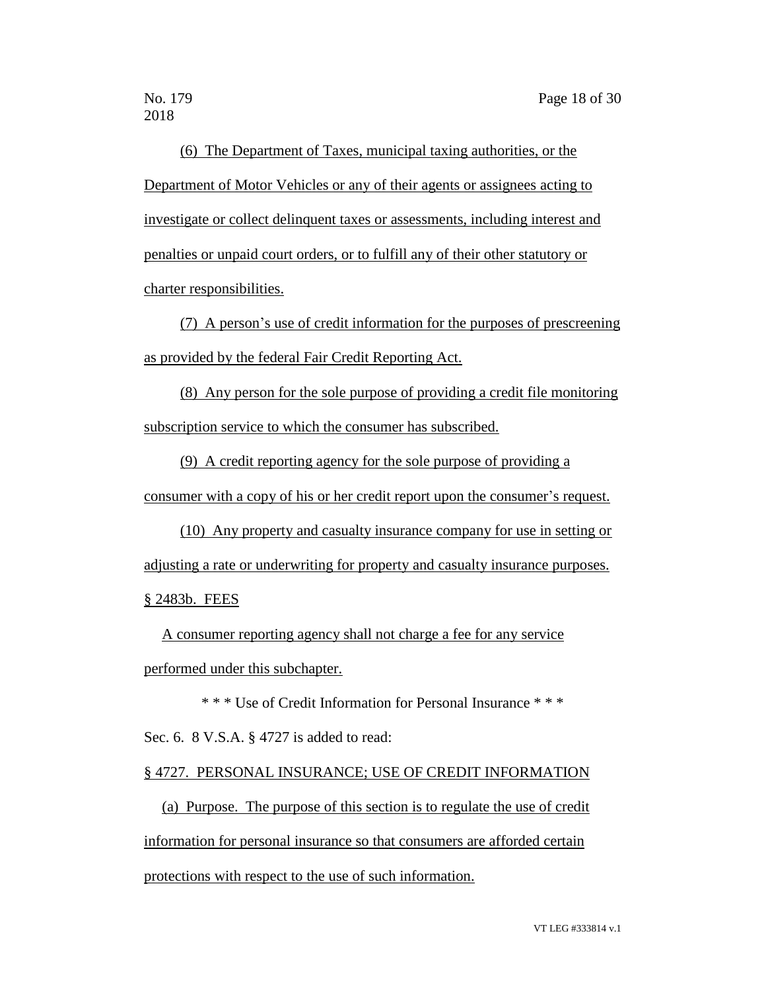(6) The Department of Taxes, municipal taxing authorities, or the Department of Motor Vehicles or any of their agents or assignees acting to investigate or collect delinquent taxes or assessments, including interest and penalties or unpaid court orders, or to fulfill any of their other statutory or charter responsibilities.

(7) A person's use of credit information for the purposes of prescreening as provided by the federal Fair Credit Reporting Act.

(8) Any person for the sole purpose of providing a credit file monitoring subscription service to which the consumer has subscribed.

(9) A credit reporting agency for the sole purpose of providing a consumer with a copy of his or her credit report upon the consumer's request.

(10) Any property and casualty insurance company for use in setting or adjusting a rate or underwriting for property and casualty insurance purposes. § 2483b. FEES

A consumer reporting agency shall not charge a fee for any service performed under this subchapter.

\* \* \* Use of Credit Information for Personal Insurance \* \* \*

Sec. 6. 8 V.S.A. § 4727 is added to read:

#### § 4727. PERSONAL INSURANCE; USE OF CREDIT INFORMATION

(a) Purpose. The purpose of this section is to regulate the use of credit information for personal insurance so that consumers are afforded certain protections with respect to the use of such information.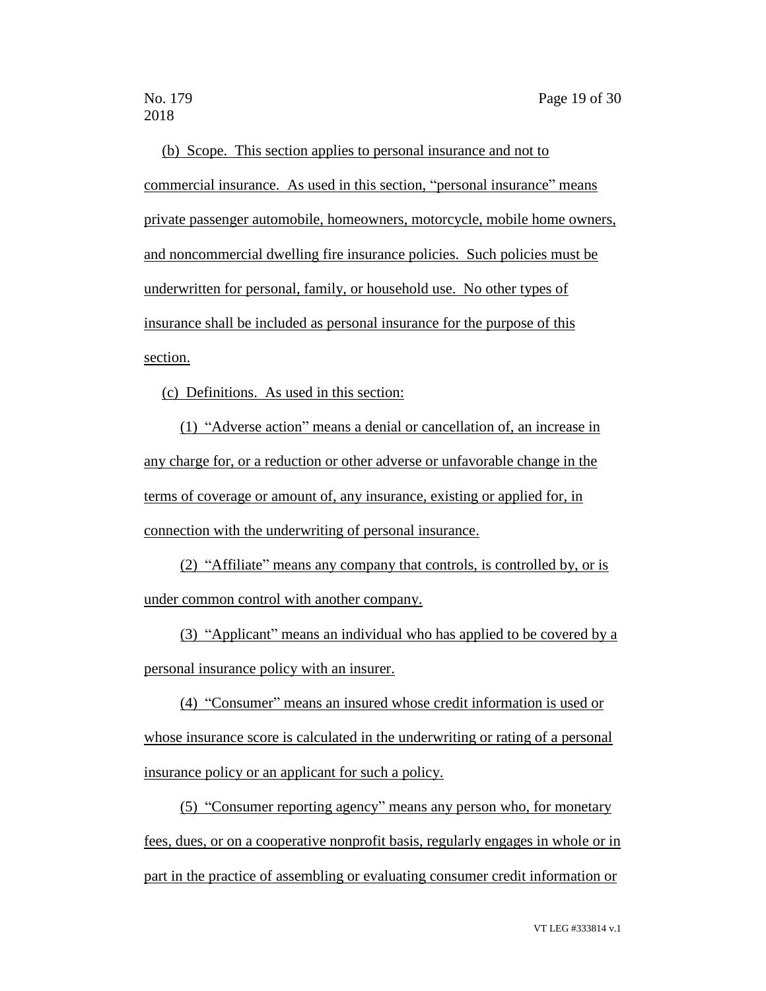(b) Scope. This section applies to personal insurance and not to commercial insurance. As used in this section, "personal insurance" means private passenger automobile, homeowners, motorcycle, mobile home owners, and noncommercial dwelling fire insurance policies. Such policies must be underwritten for personal, family, or household use. No other types of insurance shall be included as personal insurance for the purpose of this section.

(c) Definitions. As used in this section:

(1) "Adverse action" means a denial or cancellation of, an increase in any charge for, or a reduction or other adverse or unfavorable change in the terms of coverage or amount of, any insurance, existing or applied for, in connection with the underwriting of personal insurance.

(2) "Affiliate" means any company that controls, is controlled by, or is under common control with another company.

(3) "Applicant" means an individual who has applied to be covered by a personal insurance policy with an insurer.

(4) "Consumer" means an insured whose credit information is used or whose insurance score is calculated in the underwriting or rating of a personal insurance policy or an applicant for such a policy.

(5) "Consumer reporting agency" means any person who, for monetary fees, dues, or on a cooperative nonprofit basis, regularly engages in whole or in part in the practice of assembling or evaluating consumer credit information or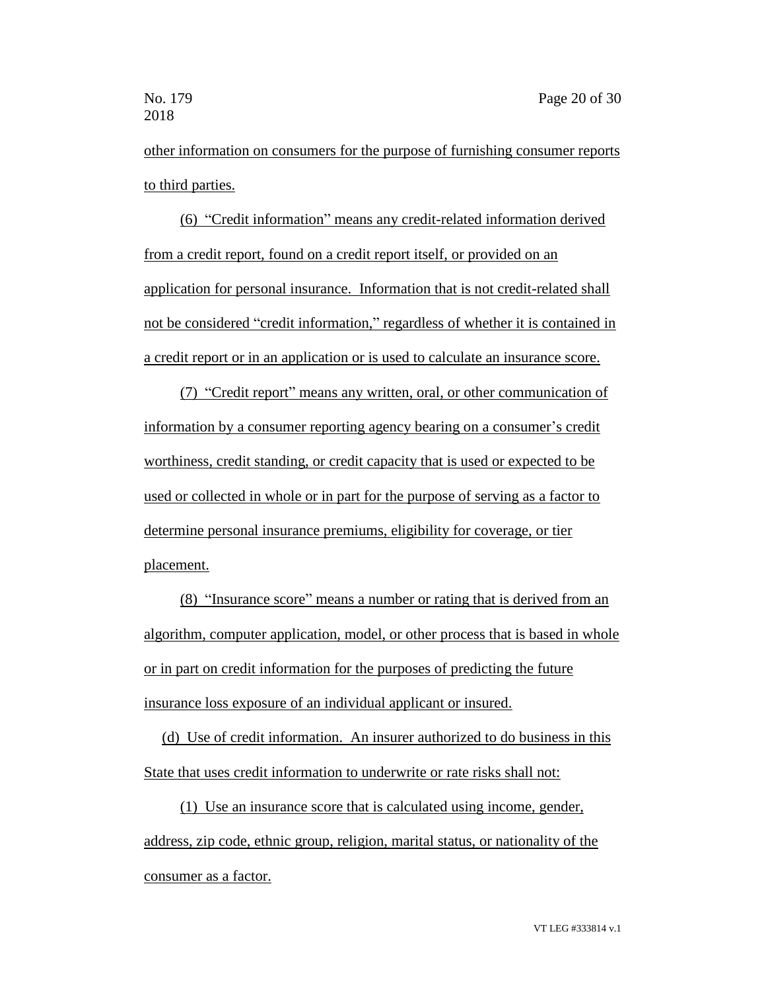other information on consumers for the purpose of furnishing consumer reports to third parties.

(6) "Credit information" means any credit-related information derived from a credit report, found on a credit report itself, or provided on an application for personal insurance. Information that is not credit-related shall not be considered "credit information," regardless of whether it is contained in a credit report or in an application or is used to calculate an insurance score.

(7) "Credit report" means any written, oral, or other communication of information by a consumer reporting agency bearing on a consumer's credit worthiness, credit standing, or credit capacity that is used or expected to be used or collected in whole or in part for the purpose of serving as a factor to determine personal insurance premiums, eligibility for coverage, or tier placement.

(8) "Insurance score" means a number or rating that is derived from an algorithm, computer application, model, or other process that is based in whole or in part on credit information for the purposes of predicting the future insurance loss exposure of an individual applicant or insured.

(d) Use of credit information. An insurer authorized to do business in this State that uses credit information to underwrite or rate risks shall not:

(1) Use an insurance score that is calculated using income, gender, address, zip code, ethnic group, religion, marital status, or nationality of the consumer as a factor.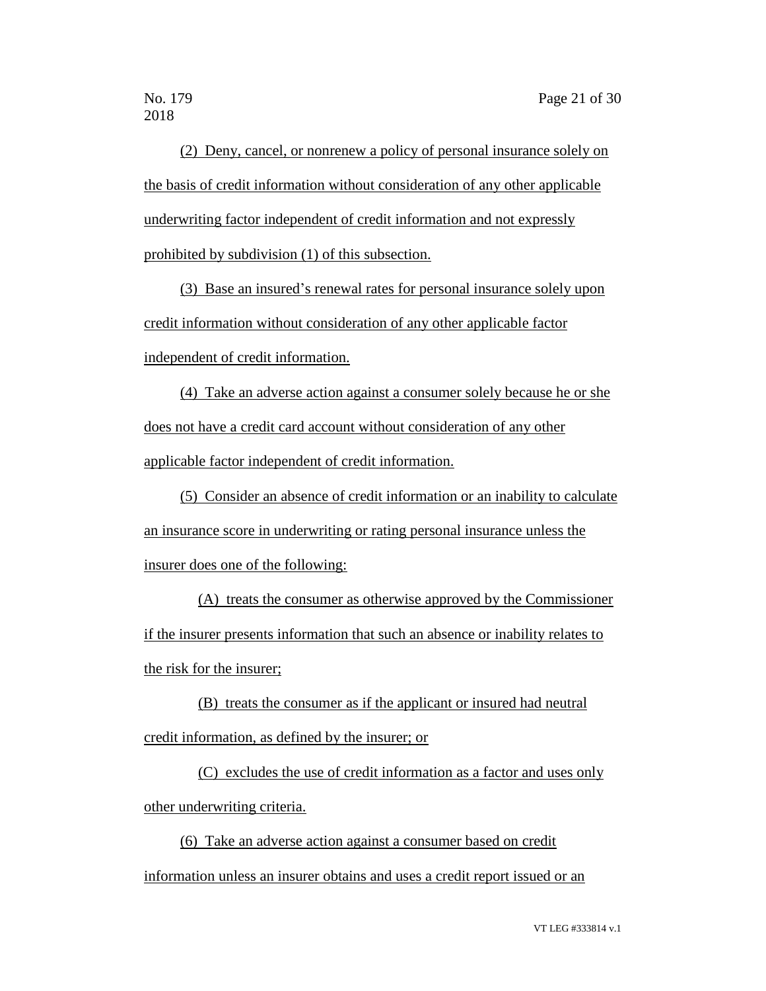(2) Deny, cancel, or nonrenew a policy of personal insurance solely on the basis of credit information without consideration of any other applicable underwriting factor independent of credit information and not expressly prohibited by subdivision (1) of this subsection.

(3) Base an insured's renewal rates for personal insurance solely upon credit information without consideration of any other applicable factor independent of credit information.

(4) Take an adverse action against a consumer solely because he or she does not have a credit card account without consideration of any other applicable factor independent of credit information.

(5) Consider an absence of credit information or an inability to calculate an insurance score in underwriting or rating personal insurance unless the insurer does one of the following:

(A) treats the consumer as otherwise approved by the Commissioner if the insurer presents information that such an absence or inability relates to the risk for the insurer;

(B) treats the consumer as if the applicant or insured had neutral credit information, as defined by the insurer; or

(C) excludes the use of credit information as a factor and uses only other underwriting criteria.

(6) Take an adverse action against a consumer based on credit information unless an insurer obtains and uses a credit report issued or an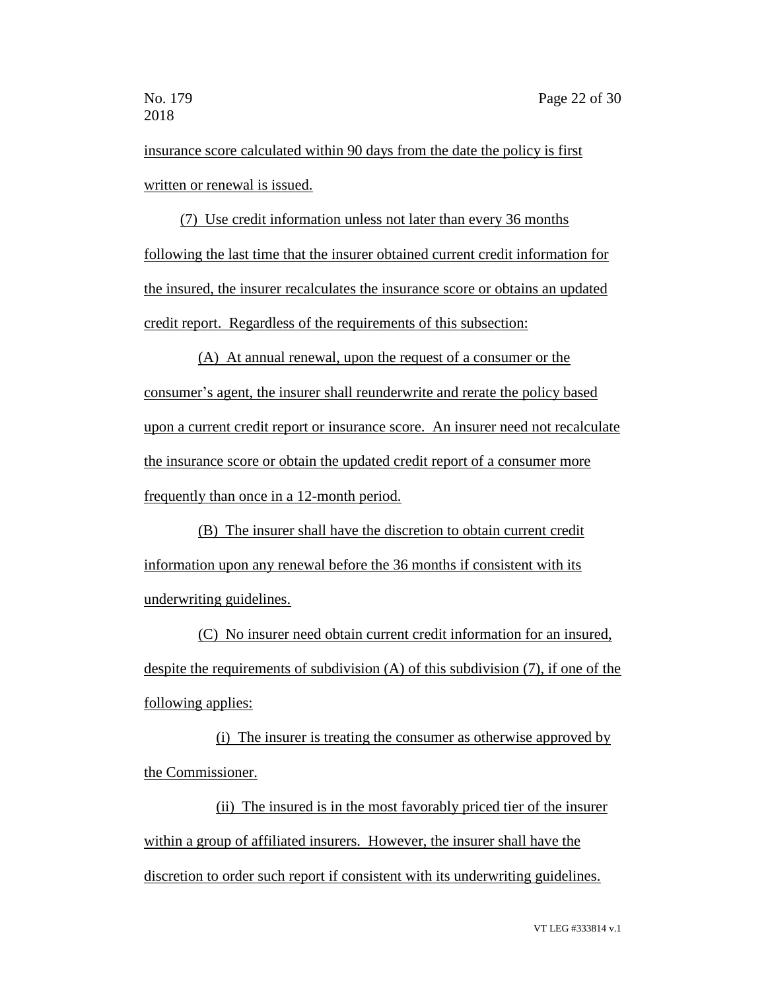insurance score calculated within 90 days from the date the policy is first written or renewal is issued.

(7) Use credit information unless not later than every 36 months following the last time that the insurer obtained current credit information for the insured, the insurer recalculates the insurance score or obtains an updated credit report. Regardless of the requirements of this subsection:

(A) At annual renewal, upon the request of a consumer or the consumer's agent, the insurer shall reunderwrite and rerate the policy based upon a current credit report or insurance score. An insurer need not recalculate the insurance score or obtain the updated credit report of a consumer more frequently than once in a 12-month period.

(B) The insurer shall have the discretion to obtain current credit information upon any renewal before the 36 months if consistent with its underwriting guidelines.

(C) No insurer need obtain current credit information for an insured, despite the requirements of subdivision (A) of this subdivision (7), if one of the following applies:

(i) The insurer is treating the consumer as otherwise approved by the Commissioner.

(ii) The insured is in the most favorably priced tier of the insurer within a group of affiliated insurers. However, the insurer shall have the discretion to order such report if consistent with its underwriting guidelines.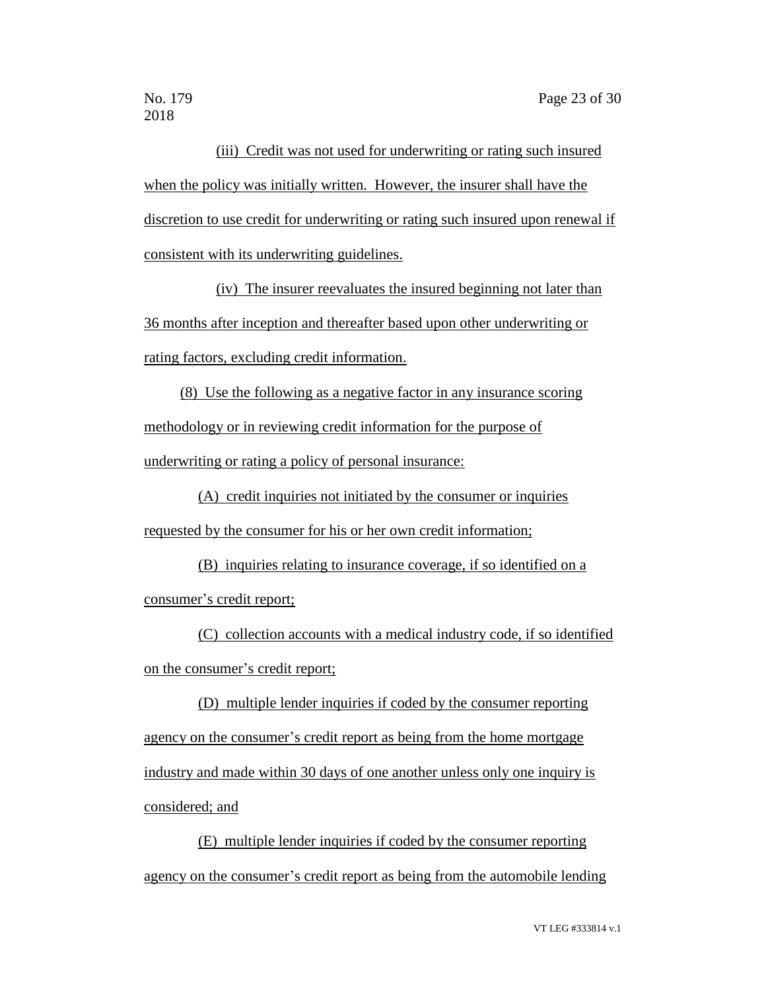(iii) Credit was not used for underwriting or rating such insured when the policy was initially written. However, the insurer shall have the discretion to use credit for underwriting or rating such insured upon renewal if consistent with its underwriting guidelines.

(iv) The insurer reevaluates the insured beginning not later than 36 months after inception and thereafter based upon other underwriting or rating factors, excluding credit information.

(8) Use the following as a negative factor in any insurance scoring methodology or in reviewing credit information for the purpose of underwriting or rating a policy of personal insurance:

(A) credit inquiries not initiated by the consumer or inquiries requested by the consumer for his or her own credit information;

(B) inquiries relating to insurance coverage, if so identified on a consumer's credit report;

(C) collection accounts with a medical industry code, if so identified on the consumer's credit report;

(D) multiple lender inquiries if coded by the consumer reporting agency on the consumer's credit report as being from the home mortgage industry and made within 30 days of one another unless only one inquiry is considered; and

(E) multiple lender inquiries if coded by the consumer reporting agency on the consumer's credit report as being from the automobile lending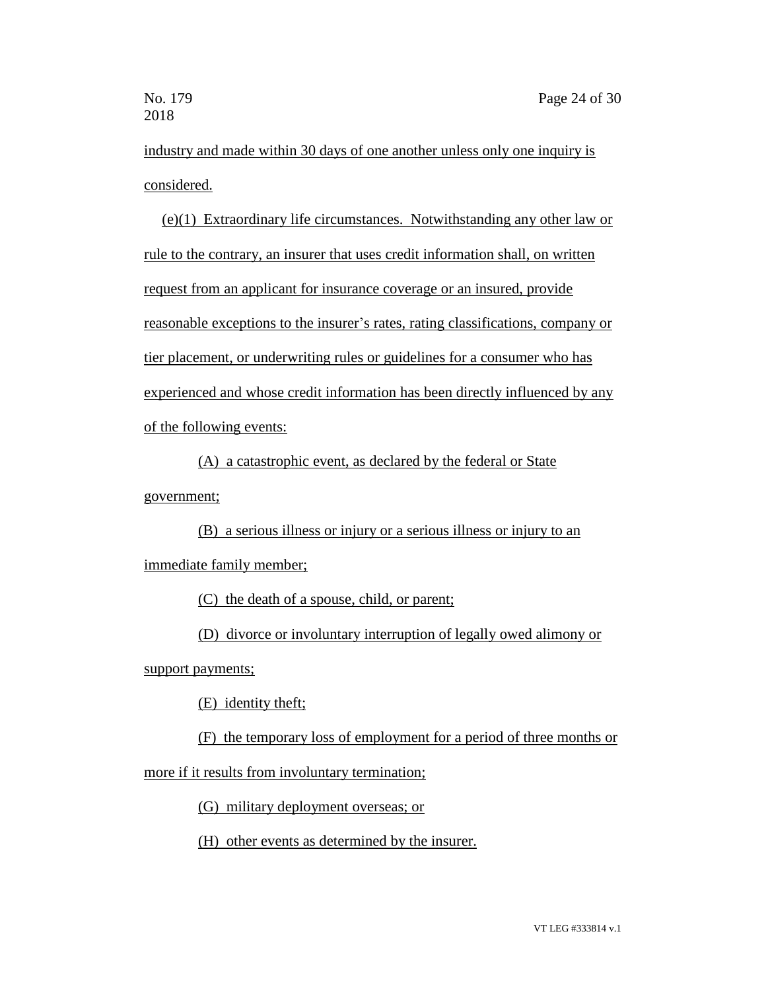industry and made within 30 days of one another unless only one inquiry is considered.

(e)(1) Extraordinary life circumstances. Notwithstanding any other law or rule to the contrary, an insurer that uses credit information shall, on written request from an applicant for insurance coverage or an insured, provide reasonable exceptions to the insurer's rates, rating classifications, company or tier placement, or underwriting rules or guidelines for a consumer who has experienced and whose credit information has been directly influenced by any of the following events:

(A) a catastrophic event, as declared by the federal or State government;

(B) a serious illness or injury or a serious illness or injury to an

immediate family member;

(C) the death of a spouse, child, or parent;

(D) divorce or involuntary interruption of legally owed alimony or

support payments;

(E) identity theft;

(F) the temporary loss of employment for a period of three months or

more if it results from involuntary termination;

(G) military deployment overseas; or

(H) other events as determined by the insurer.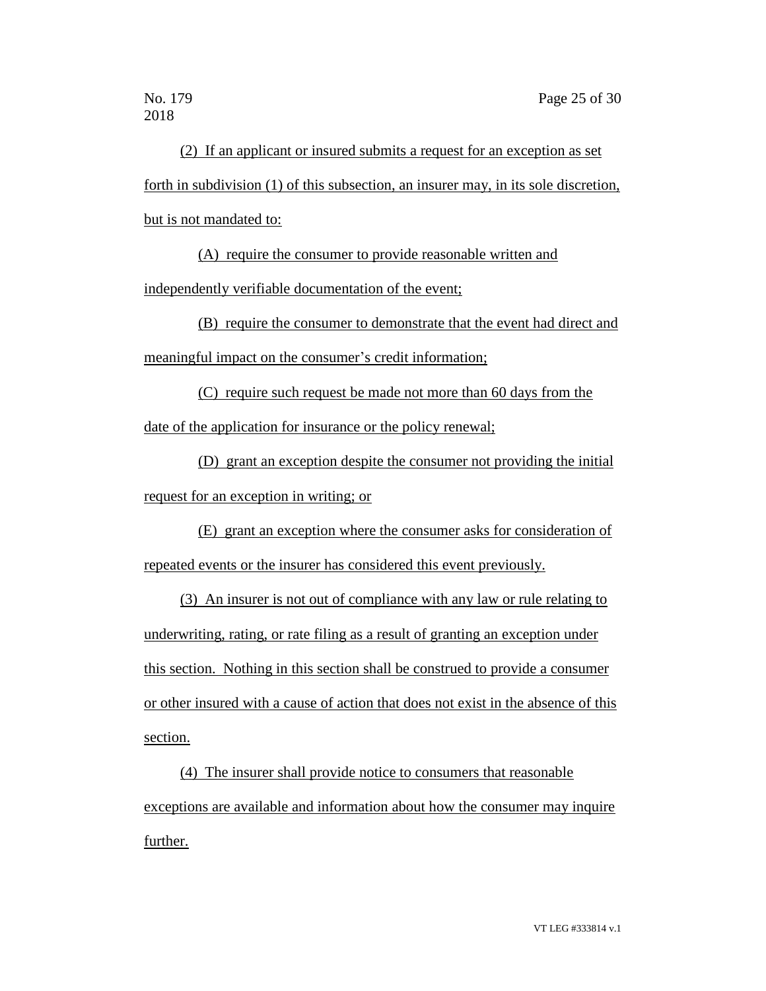(2) If an applicant or insured submits a request for an exception as set forth in subdivision (1) of this subsection, an insurer may, in its sole discretion, but is not mandated to:

(A) require the consumer to provide reasonable written and

independently verifiable documentation of the event;

(B) require the consumer to demonstrate that the event had direct and meaningful impact on the consumer's credit information;

(C) require such request be made not more than 60 days from the date of the application for insurance or the policy renewal;

(D) grant an exception despite the consumer not providing the initial request for an exception in writing; or

(E) grant an exception where the consumer asks for consideration of repeated events or the insurer has considered this event previously.

(3) An insurer is not out of compliance with any law or rule relating to underwriting, rating, or rate filing as a result of granting an exception under this section. Nothing in this section shall be construed to provide a consumer or other insured with a cause of action that does not exist in the absence of this section.

(4) The insurer shall provide notice to consumers that reasonable exceptions are available and information about how the consumer may inquire further.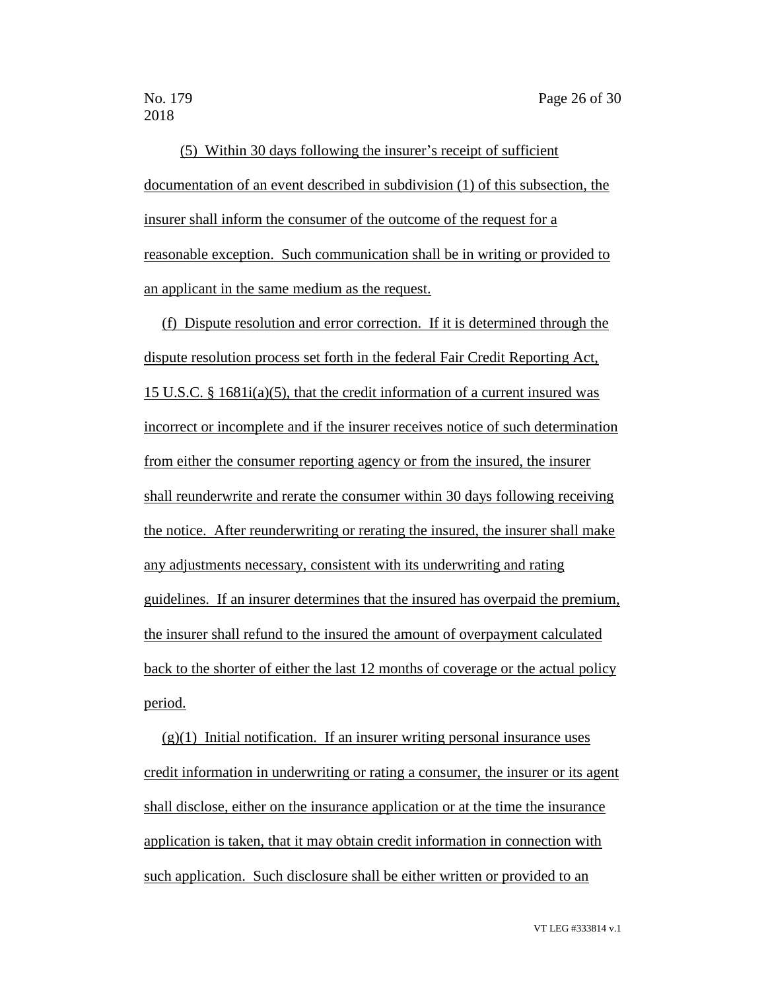(5) Within 30 days following the insurer's receipt of sufficient documentation of an event described in subdivision (1) of this subsection, the insurer shall inform the consumer of the outcome of the request for a reasonable exception. Such communication shall be in writing or provided to an applicant in the same medium as the request.

(f) Dispute resolution and error correction. If it is determined through the dispute resolution process set forth in the federal Fair Credit Reporting Act, 15 U.S.C. § 1681i(a)(5), that the credit information of a current insured was incorrect or incomplete and if the insurer receives notice of such determination from either the consumer reporting agency or from the insured, the insurer shall reunderwrite and rerate the consumer within 30 days following receiving the notice. After reunderwriting or rerating the insured, the insurer shall make any adjustments necessary, consistent with its underwriting and rating guidelines. If an insurer determines that the insured has overpaid the premium, the insurer shall refund to the insured the amount of overpayment calculated back to the shorter of either the last 12 months of coverage or the actual policy period.

 $(g)(1)$  Initial notification. If an insurer writing personal insurance uses credit information in underwriting or rating a consumer, the insurer or its agent shall disclose, either on the insurance application or at the time the insurance application is taken, that it may obtain credit information in connection with such application. Such disclosure shall be either written or provided to an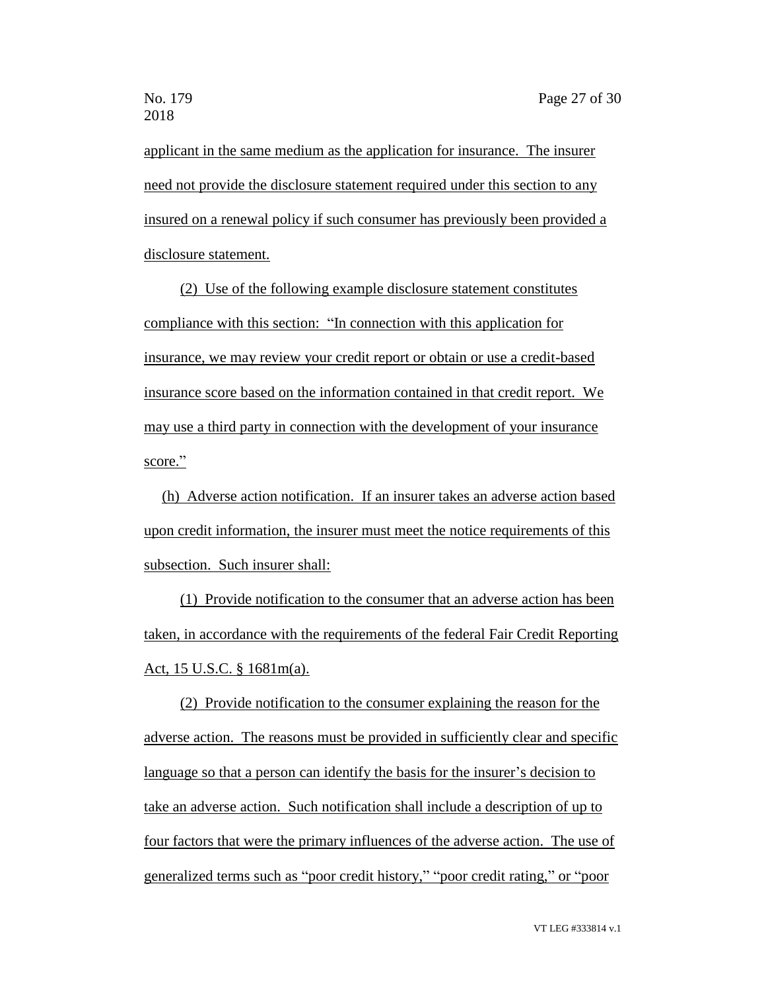applicant in the same medium as the application for insurance. The insurer need not provide the disclosure statement required under this section to any insured on a renewal policy if such consumer has previously been provided a disclosure statement.

(2) Use of the following example disclosure statement constitutes compliance with this section: "In connection with this application for insurance, we may review your credit report or obtain or use a credit-based insurance score based on the information contained in that credit report. We may use a third party in connection with the development of your insurance score."

(h) Adverse action notification. If an insurer takes an adverse action based upon credit information, the insurer must meet the notice requirements of this subsection. Such insurer shall:

(1) Provide notification to the consumer that an adverse action has been taken, in accordance with the requirements of the federal Fair Credit Reporting Act, 15 U.S.C. § 1681m(a).

(2) Provide notification to the consumer explaining the reason for the adverse action. The reasons must be provided in sufficiently clear and specific language so that a person can identify the basis for the insurer's decision to take an adverse action. Such notification shall include a description of up to four factors that were the primary influences of the adverse action. The use of generalized terms such as "poor credit history," "poor credit rating," or "poor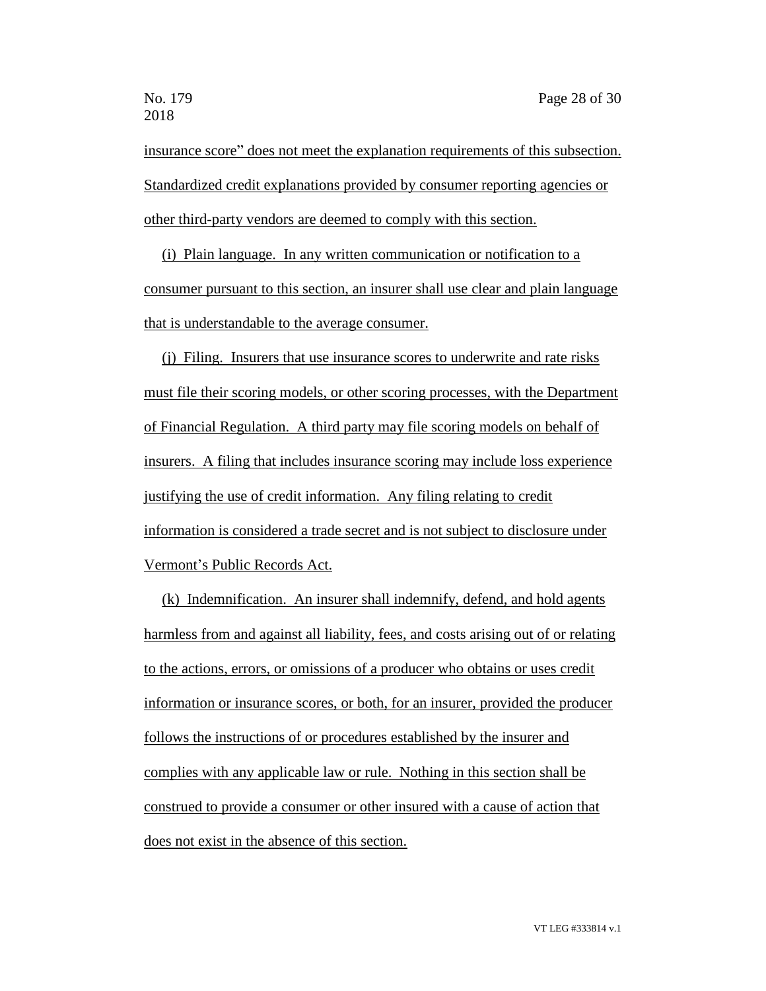insurance score" does not meet the explanation requirements of this subsection. Standardized credit explanations provided by consumer reporting agencies or other third-party vendors are deemed to comply with this section.

(i) Plain language. In any written communication or notification to a consumer pursuant to this section, an insurer shall use clear and plain language that is understandable to the average consumer.

(j) Filing. Insurers that use insurance scores to underwrite and rate risks must file their scoring models, or other scoring processes, with the Department of Financial Regulation. A third party may file scoring models on behalf of insurers. A filing that includes insurance scoring may include loss experience justifying the use of credit information. Any filing relating to credit information is considered a trade secret and is not subject to disclosure under Vermont's Public Records Act.

(k) Indemnification. An insurer shall indemnify, defend, and hold agents harmless from and against all liability, fees, and costs arising out of or relating to the actions, errors, or omissions of a producer who obtains or uses credit information or insurance scores, or both, for an insurer, provided the producer follows the instructions of or procedures established by the insurer and complies with any applicable law or rule. Nothing in this section shall be construed to provide a consumer or other insured with a cause of action that does not exist in the absence of this section.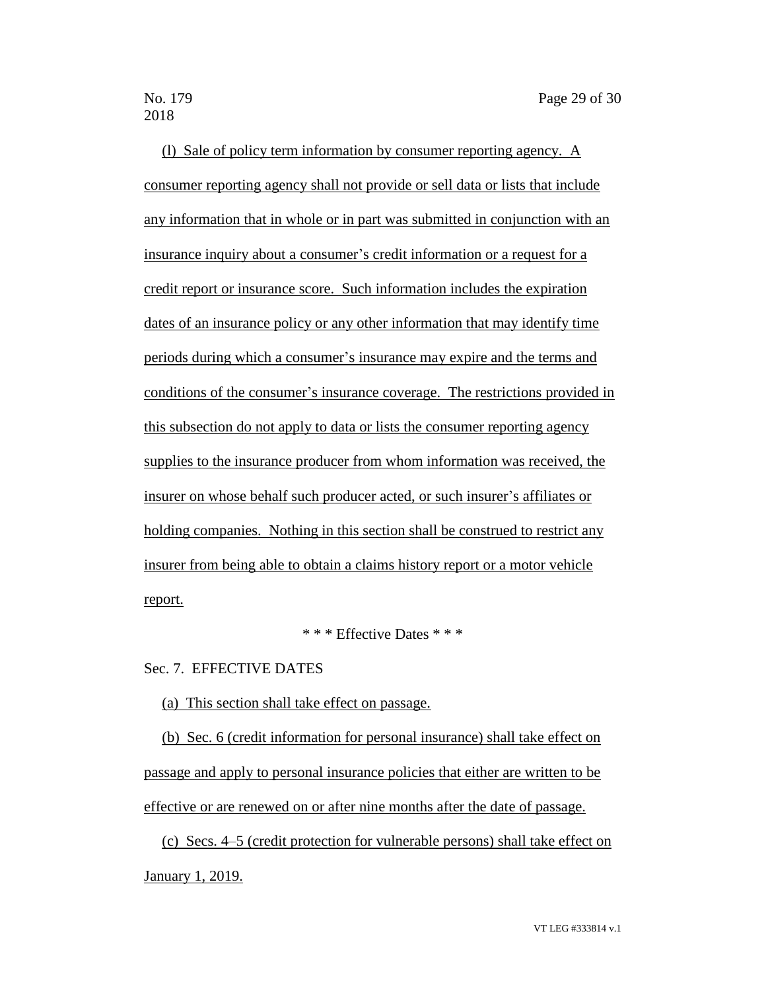(l) Sale of policy term information by consumer reporting agency. A consumer reporting agency shall not provide or sell data or lists that include any information that in whole or in part was submitted in conjunction with an insurance inquiry about a consumer's credit information or a request for a credit report or insurance score. Such information includes the expiration dates of an insurance policy or any other information that may identify time periods during which a consumer's insurance may expire and the terms and conditions of the consumer's insurance coverage. The restrictions provided in this subsection do not apply to data or lists the consumer reporting agency supplies to the insurance producer from whom information was received, the insurer on whose behalf such producer acted, or such insurer's affiliates or holding companies. Nothing in this section shall be construed to restrict any insurer from being able to obtain a claims history report or a motor vehicle report.

\* \* \* Effective Dates \* \* \*

Sec. 7. EFFECTIVE DATES

(a) This section shall take effect on passage.

(b) Sec. 6 (credit information for personal insurance) shall take effect on passage and apply to personal insurance policies that either are written to be effective or are renewed on or after nine months after the date of passage.

(c) Secs. 4–5 (credit protection for vulnerable persons) shall take effect on January 1, 2019.